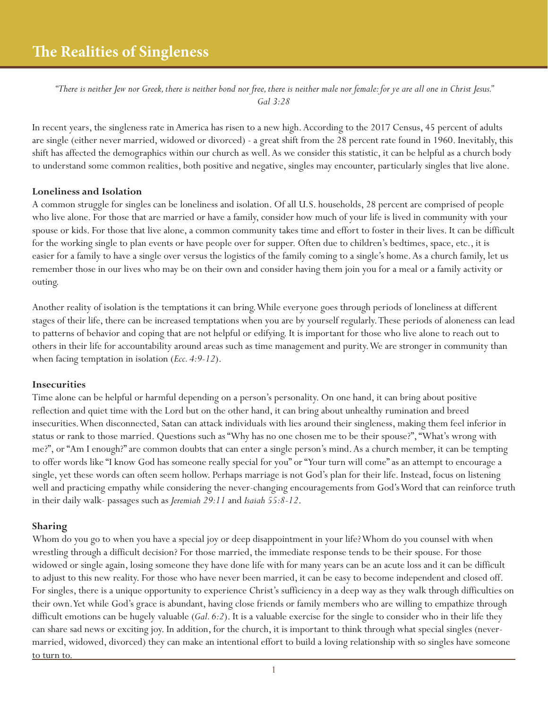*"There is neither Jew nor Greek, there is neither bond nor free, there is neither male nor female: for ye are all one in Christ Jesus." Gal 3:28*

In recent years, the singleness rate in America has risen to a new high. According to the 2017 Census, 45 percent of adults are single (either never married, widowed or divorced) - a great shift from the 28 percent rate found in 1960. Inevitably, this shift has affected the demographics within our church as well. As we consider this statistic, it can be helpful as a church body to understand some common realities, both positive and negative, singles may encounter, particularly singles that live alone.

## **Loneliness and Isolation**

A common struggle for singles can be loneliness and isolation. Of all U.S. households, 28 percent are comprised of people who live alone. For those that are married or have a family, consider how much of your life is lived in community with your spouse or kids. For those that live alone, a common community takes time and effort to foster in their lives. It can be difficult for the working single to plan events or have people over for supper. Often due to children's bedtimes, space, etc., it is easier for a family to have a single over versus the logistics of the family coming to a single's home. As a church family, let us remember those in our lives who may be on their own and consider having them join you for a meal or a family activity or outing.

Another reality of isolation is the temptations it can bring. While everyone goes through periods of loneliness at different stages of their life, there can be increased temptations when you are by yourself regularly. These periods of aloneness can lead to patterns of behavior and coping that are not helpful or edifying. It is important for those who live alone to reach out to others in their life for accountability around areas such as time management and purity. We are stronger in community than when facing temptation in isolation (*Ecc. 4:9-12*).

## **Insecurities**

Time alone can be helpful or harmful depending on a person's personality. On one hand, it can bring about positive reflection and quiet time with the Lord but on the other hand, it can bring about unhealthy rumination and breed insecurities. When disconnected, Satan can attack individuals with lies around their singleness, making them feel inferior in status or rank to those married. Questions such as "Why has no one chosen me to be their spouse?", "What's wrong with me?", or "Am I enough?" are common doubts that can enter a single person's mind. As a church member, it can be tempting to offer words like "I know God has someone really special for you" or "Your turn will come" as an attempt to encourage a single, yet these words can often seem hollow. Perhaps marriage is not God's plan for their life. Instead, focus on listening well and practicing empathy while considering the never-changing encouragements from God's Word that can reinforce truth in their daily walk- passages such as *Jeremiah 29:11* and *Isaiah 55:8-12*.

## **Sharing**

Whom do you go to when you have a special joy or deep disappointment in your life? Whom do you counsel with when wrestling through a difficult decision? For those married, the immediate response tends to be their spouse. For those widowed or single again, losing someone they have done life with for many years can be an acute loss and it can be difficult to adjust to this new reality. For those who have never been married, it can be easy to become independent and closed off. For singles, there is a unique opportunity to experience Christ's sufficiency in a deep way as they walk through difficulties on their own. Yet while God's grace is abundant, having close friends or family members who are willing to empathize through difficult emotions can be hugely valuable (*Gal. 6:2*). It is a valuable exercise for the single to consider who in their life they can share sad news or exciting joy. In addition, for the church, it is important to think through what special singles (nevermarried, widowed, divorced) they can make an intentional effort to build a loving relationship with so singles have someone to turn to.

1